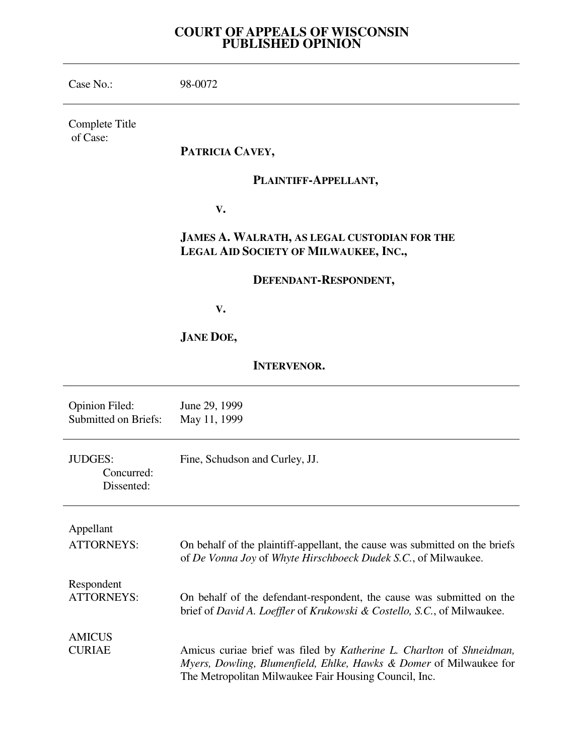# **COURT OF APPEALS OF WISCONSIN PUBLISHED OPINION**

| Case No.:                                            | 98-0072                                                                                                                                                                                             |
|------------------------------------------------------|-----------------------------------------------------------------------------------------------------------------------------------------------------------------------------------------------------|
| Complete Title<br>of Case:                           |                                                                                                                                                                                                     |
|                                                      | PATRICIA CAVEY,                                                                                                                                                                                     |
|                                                      | PLAINTIFF-APPELLANT,                                                                                                                                                                                |
|                                                      | V.                                                                                                                                                                                                  |
|                                                      | JAMES A. WALRATH, AS LEGAL CUSTODIAN FOR THE<br>LEGAL AID SOCIETY OF MILWAUKEE, INC.,                                                                                                               |
|                                                      | DEFENDANT-RESPONDENT,                                                                                                                                                                               |
|                                                      | V.                                                                                                                                                                                                  |
|                                                      | <b>JANE DOE,</b>                                                                                                                                                                                    |
| <b>INTERVENOR.</b>                                   |                                                                                                                                                                                                     |
| <b>Opinion Filed:</b><br><b>Submitted on Briefs:</b> | June 29, 1999<br>May 11, 1999                                                                                                                                                                       |
| <b>JUDGES:</b><br>Concurred:<br>Dissented:           | Fine, Schudson and Curley, JJ.                                                                                                                                                                      |
| Appellant                                            |                                                                                                                                                                                                     |
| <b>ATTORNEYS:</b>                                    | On behalf of the plaintiff-appellant, the cause was submitted on the briefs<br>of De Vonna Joy of Whyte Hirschboeck Dudek S.C., of Milwaukee.                                                       |
| Respondent<br><b>ATTORNEYS:</b>                      | On behalf of the defendant-respondent, the cause was submitted on the<br>brief of David A. Loeffler of Krukowski & Costello, S.C., of Milwaukee.                                                    |
| <b>AMICUS</b><br><b>CURIAE</b>                       | Amicus curiae brief was filed by Katherine L. Charlton of Shneidman,<br>Myers, Dowling, Blumenfield, Ehlke, Hawks & Domer of Milwaukee for<br>The Metropolitan Milwaukee Fair Housing Council, Inc. |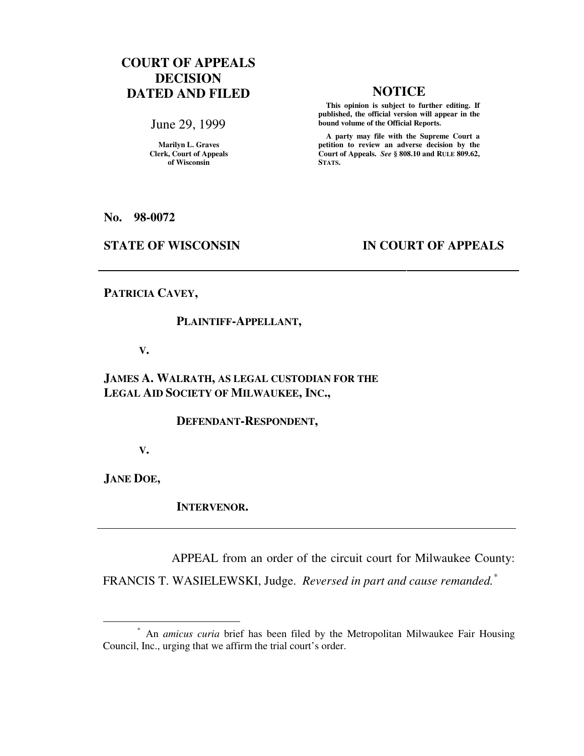# **COURT OF APPEALS DECISION DATED AND FILED NOTICE**

June 29, 1999

**Marilyn L. Graves Clerk, Court of Appeals of Wisconsin** 

 **This opinion is subject to further editing. If published, the official version will appear in the bound volume of the Official Reports.**

 **A party may file with the Supreme Court a petition to review an adverse decision by the Court of Appeals.** *See* **§ 808.10 and RULE 809.62, STATS.** 

**No. 98-0072** 

## **STATE OF WISCONSIN IN COURT OF APPEALS**

## **PATRICIA CAVEY,**

## **PLAINTIFF-APPELLANT,**

### **V.**

# **JAMES A. WALRATH, AS LEGAL CUSTODIAN FOR THE LEGAL AID SOCIETY OF MILWAUKEE, INC.,**

### **DEFENDANT-RESPONDENT,**

 **V.** 

**JANE DOE,** 

 $\overline{a}$ 

 **INTERVENOR.** 

APPEAL from an order of the circuit court for Milwaukee County:

FRANCIS T. WASIELEWSKI, Judge. *Reversed in part and cause remanded.\**

<sup>\*</sup> An *amicus curia* brief has been filed by the Metropolitan Milwaukee Fair Housing Council, Inc., urging that we affirm the trial court's order.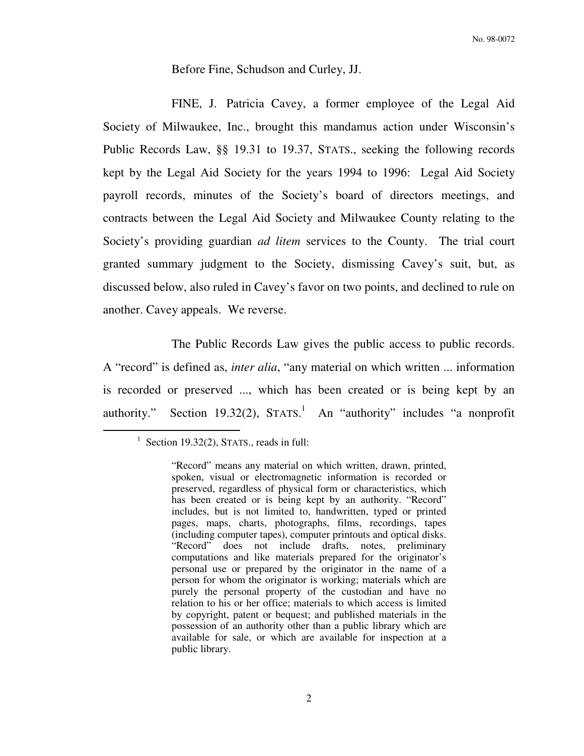## Before Fine, Schudson and Curley, JJ.

 FINE, J. Patricia Cavey, a former employee of the Legal Aid Society of Milwaukee, Inc., brought this mandamus action under Wisconsin's Public Records Law, §§ 19.31 to 19.37, STATS., seeking the following records kept by the Legal Aid Society for the years 1994 to 1996: Legal Aid Society payroll records, minutes of the Society's board of directors meetings, and contracts between the Legal Aid Society and Milwaukee County relating to the Society's providing guardian *ad litem* services to the County. The trial court granted summary judgment to the Society, dismissing Cavey's suit, but, as discussed below, also ruled in Cavey's favor on two points, and declined to rule on another. Cavey appeals. We reverse.

 The Public Records Law gives the public access to public records. A "record" is defined as, *inter alia*, "any material on which written ... information is recorded or preserved ..., which has been created or is being kept by an authority." Section 19.32(2),  $STATS$ . An "authority" includes "a nonprofit

<sup>&</sup>lt;sup>1</sup> Section 19.32(2), STATS., reads in full:

<sup>&</sup>quot;Record" means any material on which written, drawn, printed, spoken, visual or electromagnetic information is recorded or preserved, regardless of physical form or characteristics, which has been created or is being kept by an authority. "Record" includes, but is not limited to, handwritten, typed or printed pages, maps, charts, photographs, films, recordings, tapes (including computer tapes), computer printouts and optical disks. "Record" does not include drafts, notes, preliminary computations and like materials prepared for the originator's personal use or prepared by the originator in the name of a person for whom the originator is working; materials which are purely the personal property of the custodian and have no relation to his or her office; materials to which access is limited by copyright, patent or bequest; and published materials in the possession of an authority other than a public library which are available for sale, or which are available for inspection at a public library.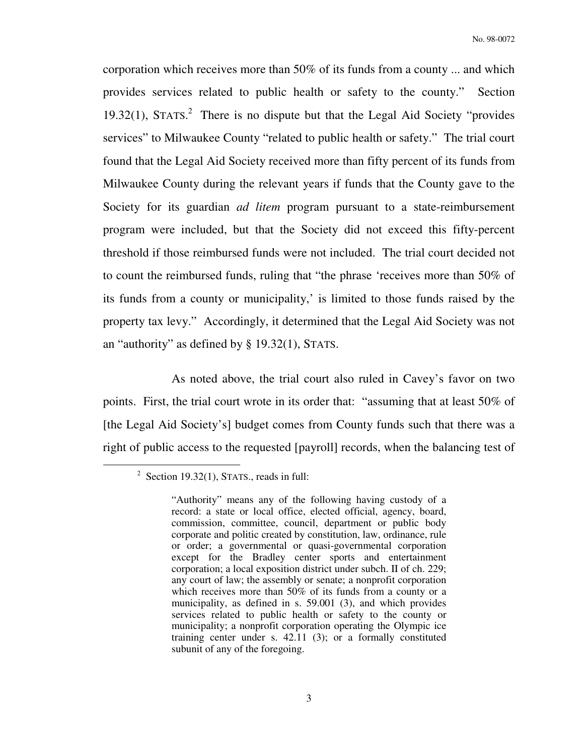corporation which receives more than 50% of its funds from a county ... and which provides services related to public health or safety to the county." Section 19.32(1), STATS. 2 There is no dispute but that the Legal Aid Society "provides services" to Milwaukee County "related to public health or safety." The trial court found that the Legal Aid Society received more than fifty percent of its funds from Milwaukee County during the relevant years if funds that the County gave to the Society for its guardian *ad litem* program pursuant to a state-reimbursement program were included, but that the Society did not exceed this fifty-percent threshold if those reimbursed funds were not included. The trial court decided not to count the reimbursed funds, ruling that "the phrase 'receives more than 50% of its funds from a county or municipality,' is limited to those funds raised by the property tax levy." Accordingly, it determined that the Legal Aid Society was not an "authority" as defined by § 19.32(1), STATS.

 As noted above, the trial court also ruled in Cavey's favor on two points. First, the trial court wrote in its order that: "assuming that at least 50% of [the Legal Aid Society's] budget comes from County funds such that there was a right of public access to the requested [payroll] records, when the balancing test of

 $2^2$  Section 19.32(1), STATS., reads in full:

<sup>&</sup>quot;Authority" means any of the following having custody of a record: a state or local office, elected official, agency, board, commission, committee, council, department or public body corporate and politic created by constitution, law, ordinance, rule or order; a governmental or quasi-governmental corporation except for the Bradley center sports and entertainment corporation; a local exposition district under subch. II of ch. 229; any court of law; the assembly or senate; a nonprofit corporation which receives more than 50% of its funds from a county or a municipality, as defined in s. 59.001 (3), and which provides services related to public health or safety to the county or municipality; a nonprofit corporation operating the Olympic ice training center under s. 42.11 (3); or a formally constituted subunit of any of the foregoing.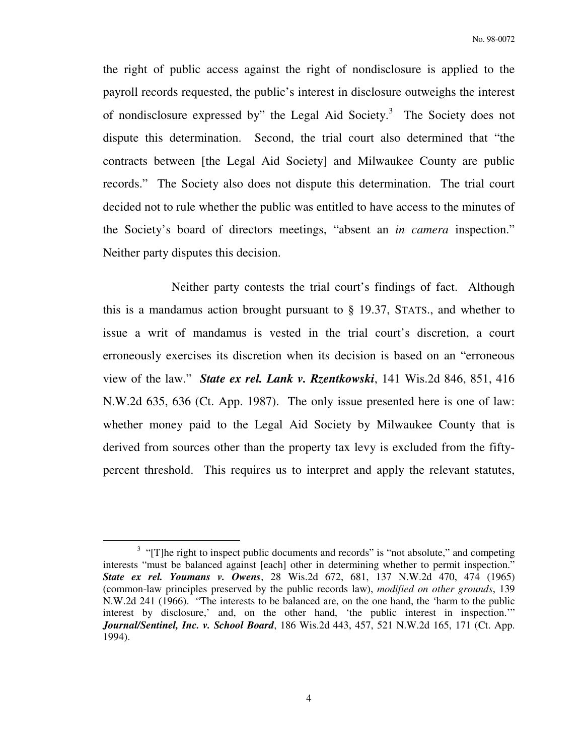the right of public access against the right of nondisclosure is applied to the payroll records requested, the public's interest in disclosure outweighs the interest of nondisclosure expressed by" the Legal Aid Society. $3$  The Society does not dispute this determination. Second, the trial court also determined that "the contracts between [the Legal Aid Society] and Milwaukee County are public records." The Society also does not dispute this determination. The trial court decided not to rule whether the public was entitled to have access to the minutes of the Society's board of directors meetings, "absent an *in camera* inspection." Neither party disputes this decision.

 Neither party contests the trial court's findings of fact. Although this is a mandamus action brought pursuant to § 19.37, STATS., and whether to issue a writ of mandamus is vested in the trial court's discretion, a court erroneously exercises its discretion when its decision is based on an "erroneous view of the law." *State ex rel. Lank v. Rzentkowski*, 141 Wis.2d 846, 851, 416 N.W.2d 635, 636 (Ct. App. 1987). The only issue presented here is one of law: whether money paid to the Legal Aid Society by Milwaukee County that is derived from sources other than the property tax levy is excluded from the fiftypercent threshold. This requires us to interpret and apply the relevant statutes,

<sup>&</sup>lt;sup>3</sup> "[T]he right to inspect public documents and records" is "not absolute," and competing interests "must be balanced against [each] other in determining whether to permit inspection." *State ex rel. Youmans v. Owens*, 28 Wis.2d 672, 681, 137 N.W.2d 470, 474 (1965) (common-law principles preserved by the public records law), *modified on other grounds*, 139 N.W.2d 241 (1966). "The interests to be balanced are, on the one hand, the 'harm to the public interest by disclosure,' and, on the other hand, 'the public interest in inspection.'" *Journal/Sentinel, Inc. v. School Board*, 186 Wis.2d 443, 457, 521 N.W.2d 165, 171 (Ct. App. 1994).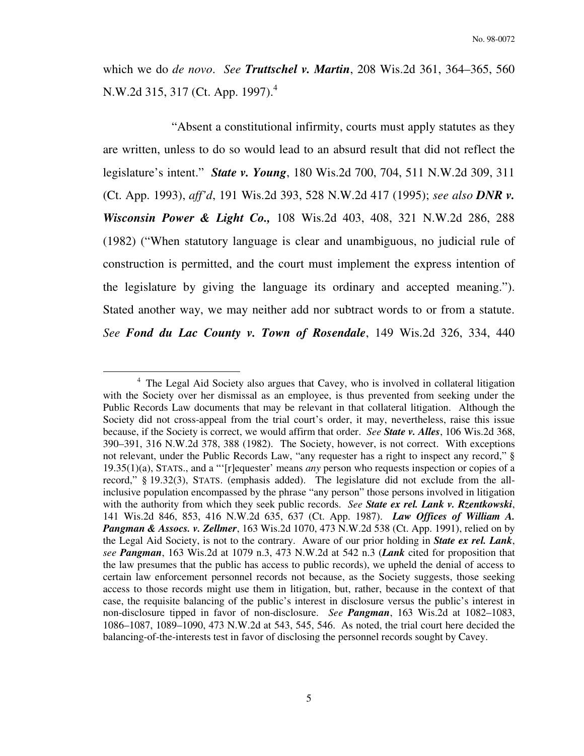which we do *de novo*. *See Truttschel v. Martin*, 208 Wis.2d 361, 364–365, 560 N.W.2d 315, 317 (Ct. App. 1997).<sup>4</sup>

 "Absent a constitutional infirmity, courts must apply statutes as they are written, unless to do so would lead to an absurd result that did not reflect the legislature's intent." *State v. Young*, 180 Wis.2d 700, 704, 511 N.W.2d 309, 311 (Ct. App. 1993), *aff'd*, 191 Wis.2d 393, 528 N.W.2d 417 (1995); *see also DNR v. Wisconsin Power & Light Co.,* 108 Wis.2d 403, 408, 321 N.W.2d 286, 288 (1982) ("When statutory language is clear and unambiguous, no judicial rule of construction is permitted, and the court must implement the express intention of the legislature by giving the language its ordinary and accepted meaning."). Stated another way, we may neither add nor subtract words to or from a statute. *See Fond du Lac County v. Town of Rosendale*, 149 Wis.2d 326, 334, 440

<sup>&</sup>lt;sup>4</sup> The Legal Aid Society also argues that Cavey, who is involved in collateral litigation with the Society over her dismissal as an employee, is thus prevented from seeking under the Public Records Law documents that may be relevant in that collateral litigation. Although the Society did not cross-appeal from the trial court's order, it may, nevertheless, raise this issue because, if the Society is correct, we would affirm that order. *See State v. Alles*, 106 Wis.2d 368, 390–391, 316 N.W.2d 378, 388 (1982). The Society, however, is not correct. With exceptions not relevant, under the Public Records Law, "any requester has a right to inspect any record," § 19.35(1)(a), STATS., and a "'[r]equester' means *any* person who requests inspection or copies of a record," § 19.32(3), STATS. (emphasis added). The legislature did not exclude from the allinclusive population encompassed by the phrase "any person" those persons involved in litigation with the authority from which they seek public records. *See State ex rel. Lank v. Rzentkowski*, 141 Wis.2d 846, 853, 416 N.W.2d 635, 637 (Ct. App. 1987). *Law Offices of William A. Pangman & Assocs. v. Zellmer*, 163 Wis.2d 1070, 473 N.W.2d 538 (Ct. App. 1991), relied on by the Legal Aid Society, is not to the contrary. Aware of our prior holding in *State ex rel. Lank*, *see Pangman*, 163 Wis.2d at 1079 n.3, 473 N.W.2d at 542 n.3 (*Lank* cited for proposition that the law presumes that the public has access to public records), we upheld the denial of access to certain law enforcement personnel records not because, as the Society suggests, those seeking access to those records might use them in litigation, but, rather, because in the context of that case, the requisite balancing of the public's interest in disclosure versus the public's interest in non-disclosure tipped in favor of non-disclosure. *See Pangman*, 163 Wis.2d at 1082–1083, 1086–1087, 1089–1090, 473 N.W.2d at 543, 545, 546. As noted, the trial court here decided the balancing-of-the-interests test in favor of disclosing the personnel records sought by Cavey.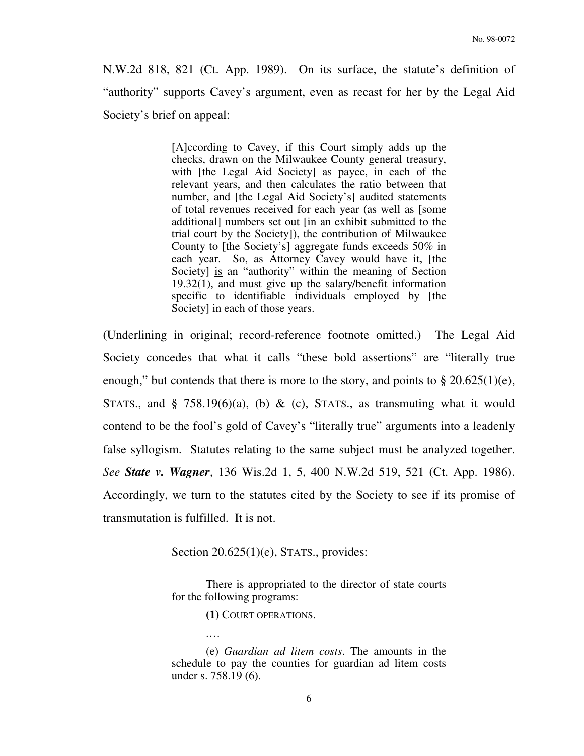N.W.2d 818, 821 (Ct. App. 1989). On its surface, the statute's definition of "authority" supports Cavey's argument, even as recast for her by the Legal Aid Society's brief on appeal:

> [A]ccording to Cavey, if this Court simply adds up the checks, drawn on the Milwaukee County general treasury, with [the Legal Aid Society] as payee, in each of the relevant years, and then calculates the ratio between that number, and [the Legal Aid Society's] audited statements of total revenues received for each year (as well as [some additional] numbers set out [in an exhibit submitted to the trial court by the Society]), the contribution of Milwaukee County to [the Society's] aggregate funds exceeds 50% in each year. So, as Attorney Cavey would have it, [the Society] is an "authority" within the meaning of Section 19.32(1), and must give up the salary/benefit information specific to identifiable individuals employed by [the Society] in each of those years.

(Underlining in original; record-reference footnote omitted.) The Legal Aid Society concedes that what it calls "these bold assertions" are "literally true enough," but contends that there is more to the story, and points to  $\S 20.625(1)(e)$ , STATS., and § 758.19(6)(a), (b) & (c), STATS., as transmuting what it would contend to be the fool's gold of Cavey's "literally true" arguments into a leadenly false syllogism. Statutes relating to the same subject must be analyzed together. *See State v. Wagner*, 136 Wis.2d 1, 5, 400 N.W.2d 519, 521 (Ct. App. 1986). Accordingly, we turn to the statutes cited by the Society to see if its promise of transmutation is fulfilled. It is not.

Section 20.625(1)(e), STATS., provides:

 There is appropriated to the director of state courts for the following programs:

 **(1)** COURT OPERATIONS.

.…

 (e) *Guardian ad litem costs*. The amounts in the schedule to pay the counties for guardian ad litem costs under s. 758.19 (6).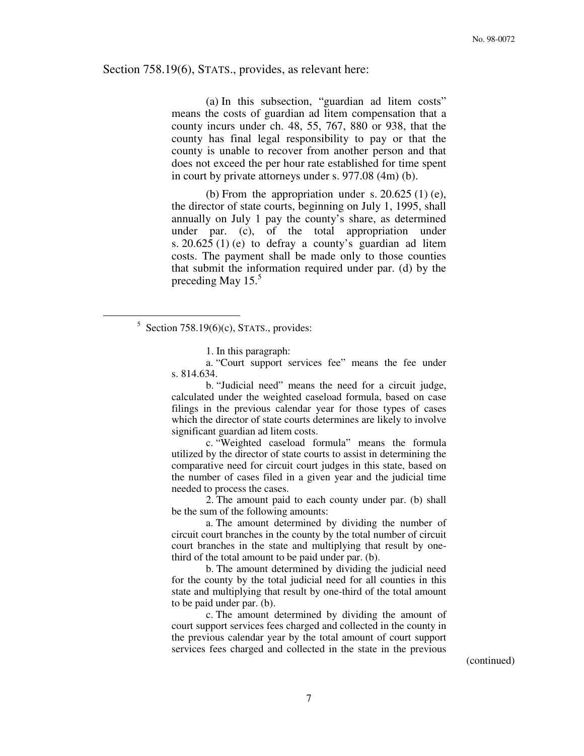#### Section 758.19(6), STATS., provides, as relevant here:

 (a) In this subsection, "guardian ad litem costs" means the costs of guardian ad litem compensation that a county incurs under ch. 48, 55, 767, 880 or 938, that the county has final legal responsibility to pay or that the county is unable to recover from another person and that does not exceed the per hour rate established for time spent in court by private attorneys under s. 977.08 (4m) (b).

(b) From the appropriation under s.  $20.625(1)$  (e), the director of state courts, beginning on July 1, 1995, shall annually on July 1 pay the county's share, as determined under par. (c), of the total appropriation under s. 20.625 (1) (e) to defray a county's guardian ad litem costs. The payment shall be made only to those counties that submit the information required under par. (d) by the preceding May  $15.<sup>5</sup>$ 

 $\overline{a}$ 

b. "Judicial need" means the need for a circuit judge, calculated under the weighted caseload formula, based on case filings in the previous calendar year for those types of cases which the director of state courts determines are likely to involve significant guardian ad litem costs.

c. "Weighted caseload formula" means the formula utilized by the director of state courts to assist in determining the comparative need for circuit court judges in this state, based on the number of cases filed in a given year and the judicial time needed to process the cases.

2. The amount paid to each county under par. (b) shall be the sum of the following amounts:

a. The amount determined by dividing the number of circuit court branches in the county by the total number of circuit court branches in the state and multiplying that result by onethird of the total amount to be paid under par. (b).

b. The amount determined by dividing the judicial need for the county by the total judicial need for all counties in this state and multiplying that result by one-third of the total amount to be paid under par. (b).

c. The amount determined by dividing the amount of court support services fees charged and collected in the county in the previous calendar year by the total amount of court support services fees charged and collected in the state in the previous

(continued)

 $5$  Section 758.19(6)(c), STATS., provides:

<sup>1.</sup> In this paragraph:

a. "Court support services fee" means the fee under s. 814.634.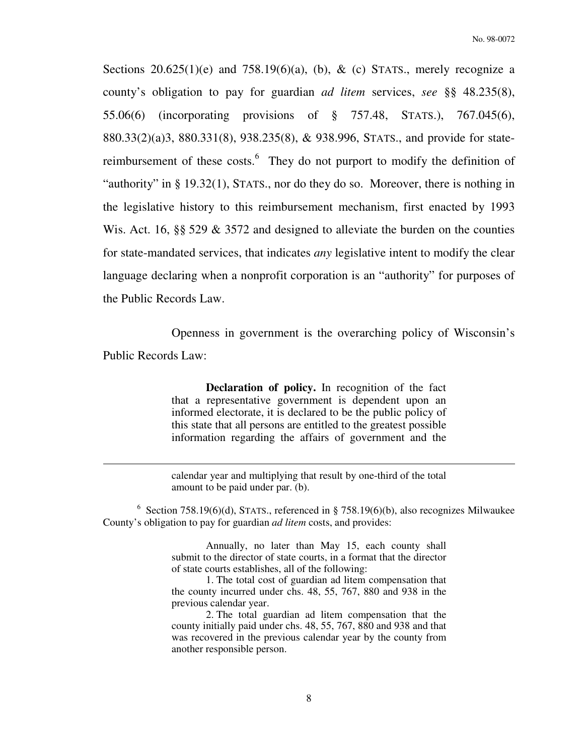Sections  $20.625(1)(e)$  and  $758.19(6)(a)$ , (b), & (c) STATS., merely recognize a county's obligation to pay for guardian *ad litem* services, *see* §§ 48.235(8), 55.06(6) (incorporating provisions of § 757.48, STATS.), 767.045(6), 880.33(2)(a)3, 880.331(8), 938.235(8), & 938.996, STATS., and provide for statereimbursement of these costs.<sup>6</sup> They do not purport to modify the definition of "authority" in § 19.32(1), STATS., nor do they do so. Moreover, there is nothing in the legislative history to this reimbursement mechanism, first enacted by 1993 Wis. Act. 16, §§ 529 & 3572 and designed to alleviate the burden on the counties for state-mandated services, that indicates *any* legislative intent to modify the clear language declaring when a nonprofit corporation is an "authority" for purposes of the Public Records Law.

 Openness in government is the overarching policy of Wisconsin's Public Records Law:

> **Declaration of policy.** In recognition of the fact that a representative government is dependent upon an informed electorate, it is declared to be the public policy of this state that all persons are entitled to the greatest possible information regarding the affairs of government and the

> calendar year and multiplying that result by one-third of the total amount to be paid under par. (b).

 $\overline{a}$ 

<sup>6</sup> Section 758.19(6)(d), STATS., referenced in § 758.19(6)(b), also recognizes Milwaukee County's obligation to pay for guardian *ad litem* costs, and provides:

> Annually, no later than May 15, each county shall submit to the director of state courts, in a format that the director of state courts establishes, all of the following:

> 1. The total cost of guardian ad litem compensation that the county incurred under chs. 48, 55, 767, 880 and 938 in the previous calendar year.

> 2. The total guardian ad litem compensation that the county initially paid under chs. 48, 55, 767, 880 and 938 and that was recovered in the previous calendar year by the county from another responsible person.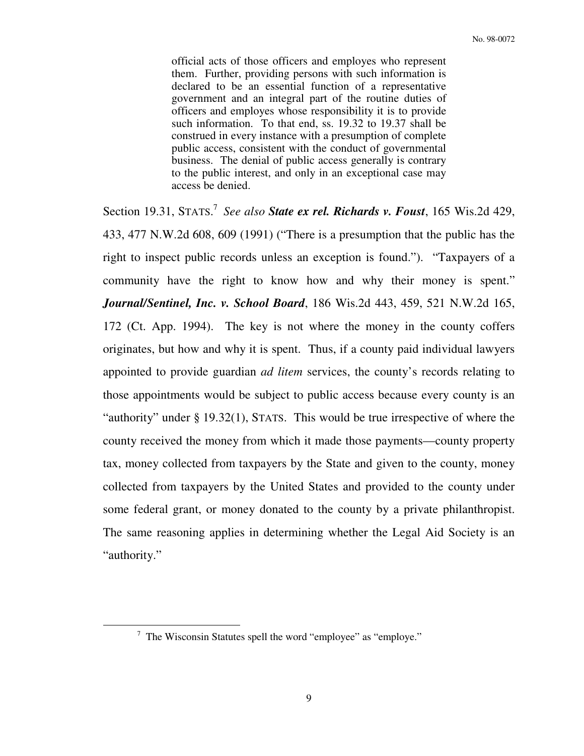official acts of those officers and employes who represent them. Further, providing persons with such information is declared to be an essential function of a representative government and an integral part of the routine duties of officers and employes whose responsibility it is to provide such information. To that end, ss. 19.32 to 19.37 shall be construed in every instance with a presumption of complete public access, consistent with the conduct of governmental business. The denial of public access generally is contrary to the public interest, and only in an exceptional case may access be denied.

Section 19.31, STATS.<sup>7</sup> See also **State ex rel. Richards v. Foust**, 165 Wis.2d 429, 433, 477 N.W.2d 608, 609 (1991) ("There is a presumption that the public has the right to inspect public records unless an exception is found."). "Taxpayers of a community have the right to know how and why their money is spent." *Journal/Sentinel, Inc. v. School Board*, 186 Wis.2d 443, 459, 521 N.W.2d 165, 172 (Ct. App. 1994). The key is not where the money in the county coffers originates, but how and why it is spent. Thus, if a county paid individual lawyers appointed to provide guardian *ad litem* services, the county's records relating to those appointments would be subject to public access because every county is an "authority" under § 19.32(1), STATS. This would be true irrespective of where the county received the money from which it made those payments—county property tax, money collected from taxpayers by the State and given to the county, money collected from taxpayers by the United States and provided to the county under some federal grant, or money donated to the county by a private philanthropist. The same reasoning applies in determining whether the Legal Aid Society is an "authority."

 $7$  The Wisconsin Statutes spell the word "employee" as "employe."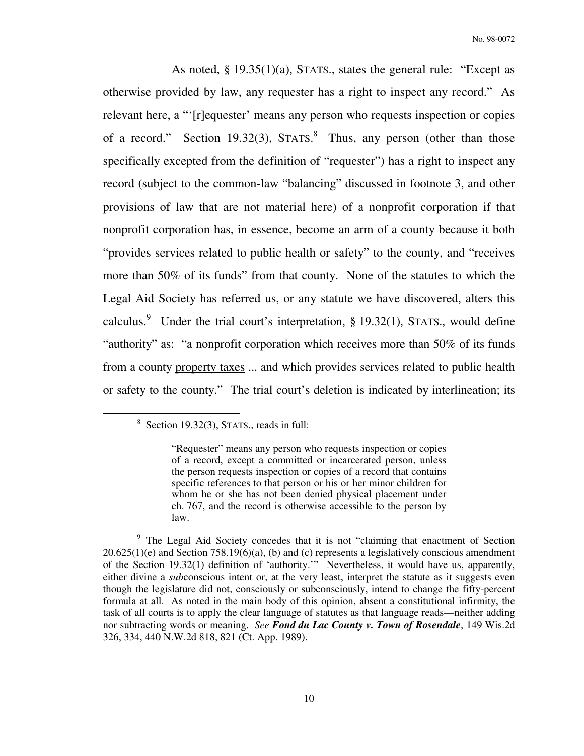As noted, § 19.35(1)(a), STATS., states the general rule: "Except as otherwise provided by law, any requester has a right to inspect any record." As relevant here, a "'[r]equester' means any person who requests inspection or copies of a record." Section 19.32(3),  $STATS$ .<sup>8</sup> Thus, any person (other than those specifically excepted from the definition of "requester") has a right to inspect any record (subject to the common-law "balancing" discussed in footnote 3, and other provisions of law that are not material here) of a nonprofit corporation if that nonprofit corporation has, in essence, become an arm of a county because it both "provides services related to public health or safety" to the county, and "receives more than 50% of its funds" from that county. None of the statutes to which the Legal Aid Society has referred us, or any statute we have discovered, alters this calculus.<sup>9</sup> Under the trial court's interpretation, § 19.32(1), STATS., would define "authority" as: "a nonprofit corporation which receives more than 50% of its funds from a county property taxes ... and which provides services related to public health or safety to the county." The trial court's deletion is indicated by interlineation; its

 $8$  Section 19.32(3), STATS., reads in full:

<sup>&</sup>quot;Requester" means any person who requests inspection or copies of a record, except a committed or incarcerated person, unless the person requests inspection or copies of a record that contains specific references to that person or his or her minor children for whom he or she has not been denied physical placement under ch. 767, and the record is otherwise accessible to the person by law.

<sup>&</sup>lt;sup>9</sup> The Legal Aid Society concedes that it is not "claiming that enactment of Section  $20.625(1)(e)$  and Section 758.19(6)(a), (b) and (c) represents a legislatively conscious amendment of the Section 19.32(1) definition of 'authority.'" Nevertheless, it would have us, apparently, either divine a *sub*conscious intent or, at the very least, interpret the statute as it suggests even though the legislature did not, consciously or subconsciously, intend to change the fifty-percent formula at all. As noted in the main body of this opinion, absent a constitutional infirmity, the task of all courts is to apply the clear language of statutes as that language reads—neither adding nor subtracting words or meaning. *See Fond du Lac County v. Town of Rosendale*, 149 Wis.2d 326, 334, 440 N.W.2d 818, 821 (Ct. App. 1989).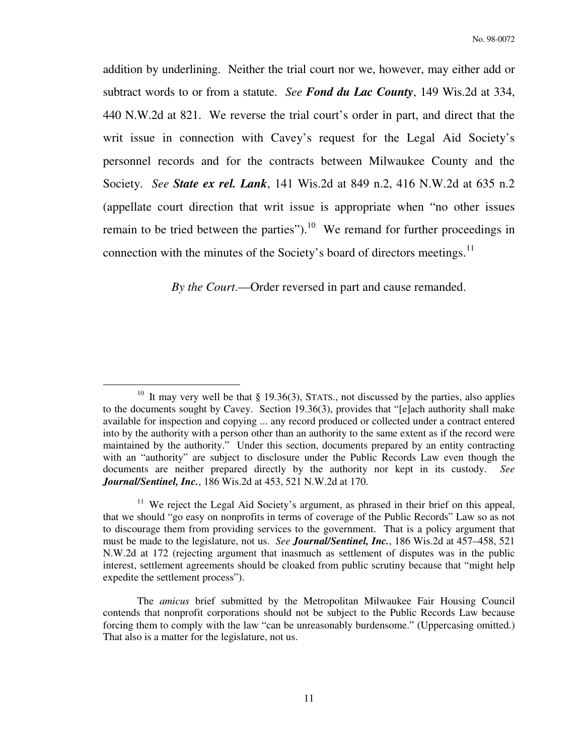addition by underlining. Neither the trial court nor we, however, may either add or subtract words to or from a statute. *See Fond du Lac County*, 149 Wis.2d at 334, 440 N.W.2d at 821. We reverse the trial court's order in part, and direct that the writ issue in connection with Cavey's request for the Legal Aid Society's personnel records and for the contracts between Milwaukee County and the Society. *See State ex rel. Lank*, 141 Wis.2d at 849 n.2, 416 N.W.2d at 635 n.2 (appellate court direction that writ issue is appropriate when "no other issues remain to be tried between the parties").<sup>10</sup> We remand for further proceedings in connection with the minutes of the Society's board of directors meetings. $^{11}$ 

 *By the Court*.—Order reversed in part and cause remanded.

<sup>&</sup>lt;sup>10</sup> It may very well be that § 19.36(3), STATS., not discussed by the parties, also applies to the documents sought by Cavey. Section 19.36(3), provides that "[e]ach authority shall make available for inspection and copying ... any record produced or collected under a contract entered into by the authority with a person other than an authority to the same extent as if the record were maintained by the authority." Under this section, documents prepared by an entity contracting with an "authority" are subject to disclosure under the Public Records Law even though the documents are neither prepared directly by the authority nor kept in its custody. *See Journal/Sentinel, Inc.*, 186 Wis.2d at 453, 521 N.W.2d at 170.

<sup>&</sup>lt;sup>11</sup> We reject the Legal Aid Society's argument, as phrased in their brief on this appeal, that we should "go easy on nonprofits in terms of coverage of the Public Records" Law so as not to discourage them from providing services to the government. That is a policy argument that must be made to the legislature, not us. *See Journal/Sentinel, Inc.*, 186 Wis.2d at 457–458, 521 N.W.2d at 172 (rejecting argument that inasmuch as settlement of disputes was in the public interest, settlement agreements should be cloaked from public scrutiny because that "might help expedite the settlement process").

The *amicus* brief submitted by the Metropolitan Milwaukee Fair Housing Council contends that nonprofit corporations should not be subject to the Public Records Law because forcing them to comply with the law "can be unreasonably burdensome." (Uppercasing omitted.) That also is a matter for the legislature, not us.